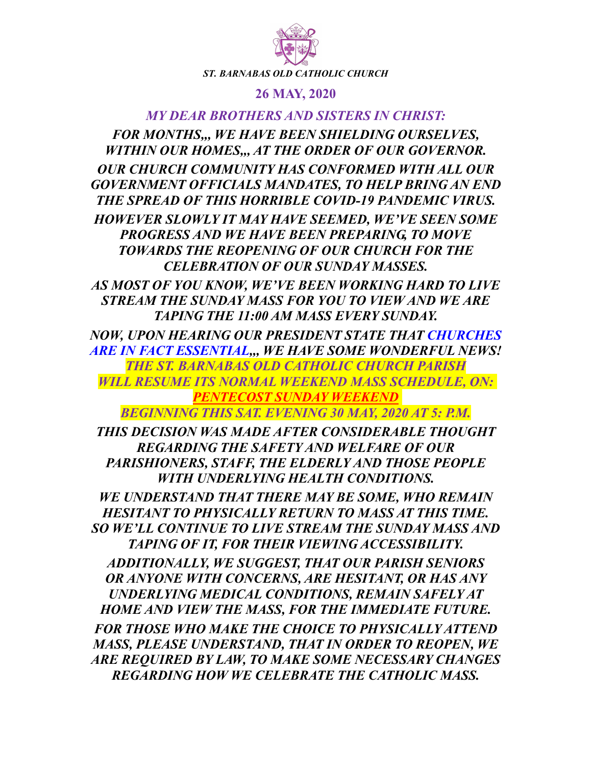

## **26 MAY, 2020**

*MY DEAR BROTHERS AND SISTERS IN CHRIST:* 

*FOR MONTHS,,, WE HAVE BEEN SHIELDING OURSELVES, WITHIN OUR HOMES,,, AT THE ORDER OF OUR GOVERNOR. OUR CHURCH COMMUNITY HAS CONFORMED WITH ALL OUR GOVERNMENT OFFICIALS MANDATES, TO HELP BRING AN END THE SPREAD OF THIS HORRIBLE COVID-19 PANDEMIC VIRUS. HOWEVER SLOWLY IT MAY HAVE SEEMED, WE'VE SEEN SOME PROGRESS AND WE HAVE BEEN PREPARING, TO MOVE TOWARDS THE REOPENING OF OUR CHURCH FOR THE CELEBRATION OF OUR SUNDAY MASSES.* 

*AS MOST OF YOU KNOW, WE'VE BEEN WORKING HARD TO LIVE STREAM THE SUNDAY MASS FOR YOU TO VIEW AND WE ARE TAPING THE 11:00 AM MASS EVERY SUNDAY.* 

*NOW, UPON HEARING OUR PRESIDENT STATE THAT CHURCHES ARE IN FACT ESSENTIAL,,, WE HAVE SOME WONDERFUL NEWS! THE ST. BARNABAS OLD CATHOLIC CHURCH PARISH WILL RESUME ITS NORMAL WEEKEND MASS SCHEDULE, ON: PENTECOST SUNDAY WEEKEND* 

*BEGINNING THIS SAT. EVENING 30 MAY, 2020 AT 5: P.M.*

*THIS DECISION WAS MADE AFTER CONSIDERABLE THOUGHT REGARDING THE SAFETY AND WELFARE OF OUR PARISHIONERS, STAFF, THE ELDERLY AND THOSE PEOPLE WITH UNDERLYING HEALTH CONDITIONS.* 

*WE UNDERSTAND THAT THERE MAY BE SOME, WHO REMAIN HESITANT TO PHYSICALLY RETURN TO MASS AT THIS TIME. SO WE'LL CONTINUE TO LIVE STREAM THE SUNDAY MASS AND TAPING OF IT, FOR THEIR VIEWING ACCESSIBILITY. ADDITIONALLY, WE SUGGEST, THAT OUR PARISH SENIORS OR ANYONE WITH CONCERNS, ARE HESITANT, OR HAS ANY UNDERLYING MEDICAL CONDITIONS, REMAIN SAFELY AT HOME AND VIEW THE MASS, FOR THE IMMEDIATE FUTURE. FOR THOSE WHO MAKE THE CHOICE TO PHYSICALLY ATTEND MASS, PLEASE UNDERSTAND, THAT IN ORDER TO REOPEN, WE ARE REQUIRED BY LAW, TO MAKE SOME NECESSARY CHANGES REGARDING HOW WE CELEBRATE THE CATHOLIC MASS.*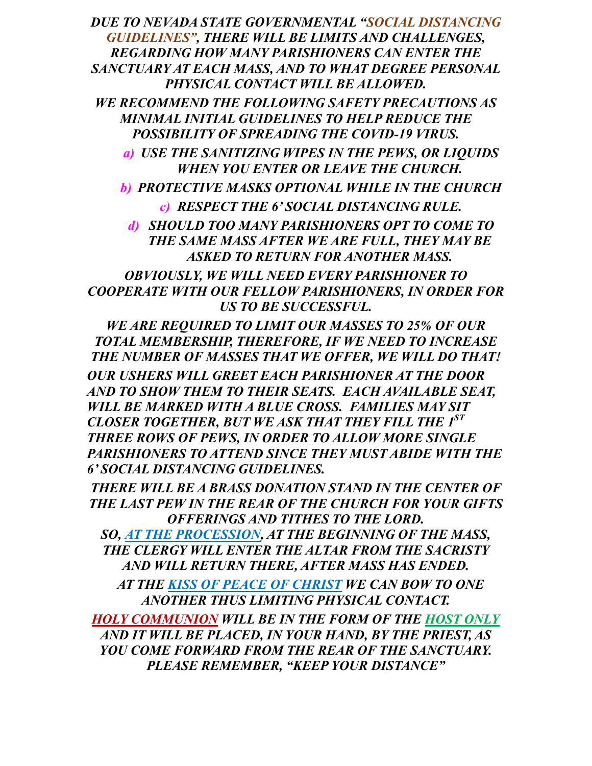*DUE TO NEVADA STATE GOVERNMENTAL "SOCIAL DISTANCING GUIDELINES", THERE WILL BE LIMITS AND CHALLENGES, REGARDING HOW MANY PARISHIONERS CAN ENTER THE SANCTUARY AT EACH MASS, AND TO WHAT DEGREE PERSONAL PHYSICAL CONTACT WILL BE ALLOWED.* 

*WE RECOMMEND THE FOLLOWING SAFETY PRECAUTIONS AS MINIMAL INITIAL GUIDELINES TO HELP REDUCE THE POSSIBILITY OF SPREADING THE COVID-19 VIRUS.* 

*a) USE THE SANITIZING WIPES IN THE PEWS, OR LIQUIDS WHEN YOU ENTER OR LEAVE THE CHURCH.* 

*b) PROTECTIVE MASKS OPTIONAL WHILE IN THE CHURCH c) RESPECT THE 6' SOCIAL DISTANCING RULE.* 

*d) SHOULD TOO MANY PARISHIONERS OPT TO COME TO THE SAME MASS AFTER WE ARE FULL, THEY MAY BE ASKED TO RETURN FOR ANOTHER MASS.* 

*OBVIOUSLY, WE WILL NEED EVERY PARISHIONER TO COOPERATE WITH OUR FELLOW PARISHIONERS, IN ORDER FOR US TO BE SUCCESSFUL.* 

*WE ARE REQUIRED TO LIMIT OUR MASSES TO 25% OF OUR TOTAL MEMBERSHIP, THEREFORE, IF WE NEED TO INCREASE THE NUMBER OF MASSES THAT WE OFFER, WE WILL DO THAT! OUR USHERS WILL GREET EACH PARISHIONER AT THE DOOR AND TO SHOW THEM TO THEIR SEATS. EACH AVAILABLE SEAT, WILL BE MARKED WITH A BLUE CROSS. FAMILIES MAY SIT CLOSER TOGETHER, BUT WE ASK THAT THEY FILL THE 1ST THREE ROWS OF PEWS, IN ORDER TO ALLOW MORE SINGLE PARISHIONERS TO ATTEND SINCE THEY MUST ABIDE WITH THE 6' SOCIAL DISTANCING GUIDELINES.* 

*THERE WILL BE A BRASS DONATION STAND IN THE CENTER OF THE LAST PEW IN THE REAR OF THE CHURCH FOR YOUR GIFTS OFFERINGS AND TITHES TO THE LORD.* 

*SO, AT THE PROCESSION, AT THE BEGINNING OF THE MASS, THE CLERGY WILL ENTER THE ALTAR FROM THE SACRISTY AND WILL RETURN THERE, AFTER MASS HAS ENDED.* 

 *AT THE KISS OF PEACE OF CHRIST WE CAN BOW TO ONE ANOTHER THUS LIMITING PHYSICAL CONTACT.* 

*HOLY COMMUNION WILL BE IN THE FORM OF THE HOST ONLY AND IT WILL BE PLACED, IN YOUR HAND, BY THE PRIEST, AS YOU COME FORWARD FROM THE REAR OF THE SANCTUARY. PLEASE REMEMBER, "KEEP YOUR DISTANCE"*